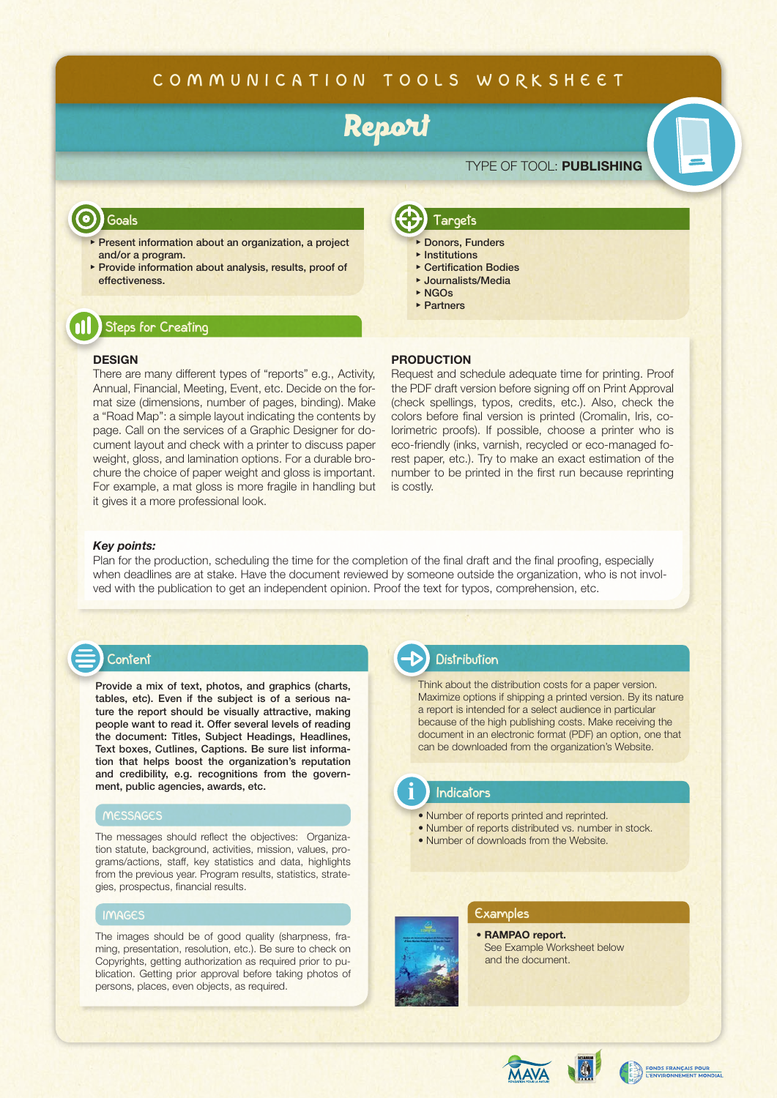## **COMMUNICATION TOOLS WORKSHEET**

# Report

## TYPE OF TOOL: **PUBLISHING**

### **Goals**

- ▶ Present information about an organization, a project and/or a program.
- ▶︎ Provide information about analysis, results, proof of effectiveness.

## **Steps for Creating**

### **DESIGN**

There are many different types of "reports" e.g., Activity, Annual, Financial, Meeting, Event, etc. Decide on the format size (dimensions, number of pages, binding). Make a "Road Map": a simple layout indicating the contents by page. Call on the services of a Graphic Designer for document layout and check with a printer to discuss paper weight, gloss, and lamination options. For a durable brochure the choice of paper weight and gloss is important. For example, a mat gloss is more fragile in handling but it gives it a more professional look.

#### ▶︎ NGOs ▶︎ Partners

**Targets**

Donors, Funders ▶︎ Institutions ▶ Certification Bodies ▶︎ Journalists/Media

### **PRODUCTION**

Request and schedule adequate time for printing. Proof the PDF draft version before signing off on Print Approval (check spellings, typos, credits, etc.). Also, check the colors before final version is printed (Cromalin, Iris, colorimetric proofs). If possible, choose a printer who is eco-friendly (inks, varnish, recycled or eco-managed forest paper, etc.). Try to make an exact estimation of the number to be printed in the first run because reprinting is costly.

### *Key points:*

Plan for the production, scheduling the time for the completion of the final draft and the final proofing, especially when deadlines are at stake. Have the document reviewed by someone outside the organization, who is not involved with the publication to get an independent opinion. Proof the text for typos, comprehension, etc.



Provide a mix of text, photos, and graphics (charts, tables, etc). Even if the subject is of a serious nature the report should be visually attractive, making people want to read it. Offer several levels of reading

the document: Titles, Subject Headings, Headlines, Text boxes, Cutlines, Captions. Be sure list information that helps boost the organization's reputation and credibility, e.g. recognitions from the government, public agencies, awards, etc.

### **MESSAGES**

The messages should reflect the objectives: Organization statute, background, activities, mission, values, programs/actions, staff, key statistics and data, highlights from the previous year. Program results, statistics, strategies, prospectus, financial results.

### **IMAGES**

The images should be of good quality (sharpness, framing, presentation, resolution, etc.). Be sure to check on Copyrights, getting authorization as required prior to publication. Getting prior approval before taking photos of persons, places, even objects, as required.

## **Distribution**

Think about the distribution costs for a paper version. Maximize options if shipping a printed version. By its nature a report is intended for a select audience in particular because of the high publishing costs. Make receiving the document in an electronic format (PDF) an option, one that can be downloaded from the organization's Website.

### **Indicators**

**i**

- Number of reports printed and reprinted.
- Number of reports distributed vs. number in stock.
- Number of downloads from the Website.

### **Examples**

### • **RAMPAO report.** [See Example Worksheet below](http://rampao.org/IMG/pdf/RapportEtude_RAMPAO.pdf) and the document.